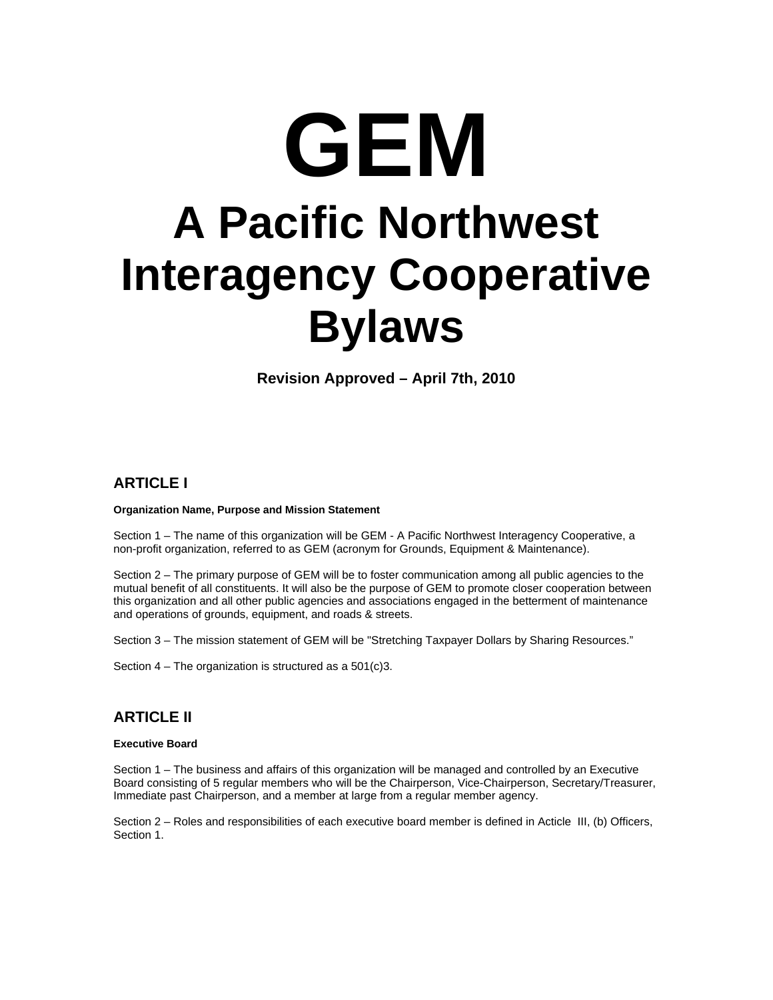# **GEM A Pacific Northwest Interagency Cooperative Bylaws**

**Revision Approved – April 7th, 2010** 

# **ARTICLE I**

#### **Organization Name, Purpose and Mission Statement**

Section 1 – The name of this organization will be GEM - A Pacific Northwest Interagency Cooperative, a non-profit organization, referred to as GEM (acronym for Grounds, Equipment & Maintenance).

Section 2 – The primary purpose of GEM will be to foster communication among all public agencies to the mutual benefit of all constituents. It will also be the purpose of GEM to promote closer cooperation between this organization and all other public agencies and associations engaged in the betterment of maintenance and operations of grounds, equipment, and roads & streets.

Section 3 – The mission statement of GEM will be "Stretching Taxpayer Dollars by Sharing Resources."

Section 4 – The organization is structured as a 501(c)3.

# **ARTICLE II**

### **Executive Board**

Section 1 – The business and affairs of this organization will be managed and controlled by an Executive Board consisting of 5 regular members who will be the Chairperson, Vice-Chairperson, Secretary/Treasurer, Immediate past Chairperson, and a member at large from a regular member agency.

Section 2 – Roles and responsibilities of each executive board member is defined in Acticle III, (b) Officers, Section 1.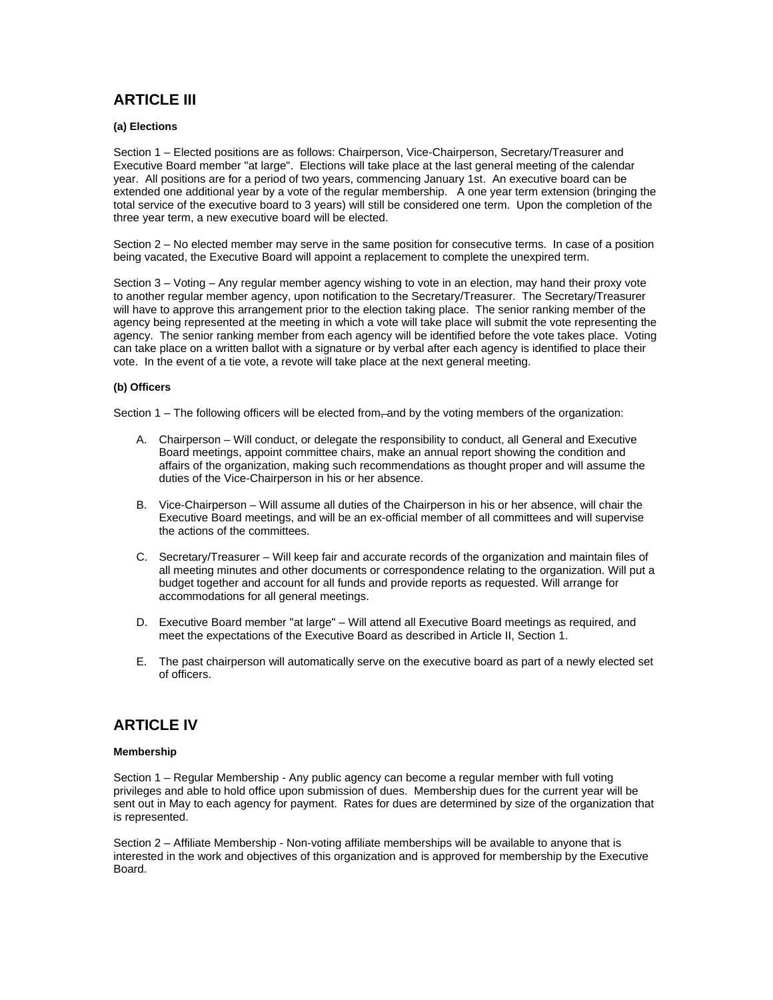# **ARTICLE III**

#### **(a) Elections**

Section 1 – Elected positions are as follows: Chairperson, Vice-Chairperson, Secretary/Treasurer and Executive Board member "at large". Elections will take place at the last general meeting of the calendar year. All positions are for a period of two years, commencing January 1st. An executive board can be extended one additional year by a vote of the regular membership. A one year term extension (bringing the total service of the executive board to 3 years) will still be considered one term. Upon the completion of the three year term, a new executive board will be elected.

Section 2 – No elected member may serve in the same position for consecutive terms. In case of a position being vacated, the Executive Board will appoint a replacement to complete the unexpired term.

Section 3 – Voting – Any regular member agency wishing to vote in an election, may hand their proxy vote to another regular member agency, upon notification to the Secretary/Treasurer. The Secretary/Treasurer will have to approve this arrangement prior to the election taking place. The senior ranking member of the agency being represented at the meeting in which a vote will take place will submit the vote representing the agency. The senior ranking member from each agency will be identified before the vote takes place. Voting can take place on a written ballot with a signature or by verbal after each agency is identified to place their vote. In the event of a tie vote, a revote will take place at the next general meeting.

#### **(b) Officers**

Section  $1 -$  The following officers will be elected from  $\tau$  and by the voting members of the organization:

- A. Chairperson Will conduct, or delegate the responsibility to conduct, all General and Executive Board meetings, appoint committee chairs, make an annual report showing the condition and affairs of the organization, making such recommendations as thought proper and will assume the duties of the Vice-Chairperson in his or her absence.
- B. Vice-Chairperson Will assume all duties of the Chairperson in his or her absence, will chair the Executive Board meetings, and will be an ex-official member of all committees and will supervise the actions of the committees.
- C. Secretary/Treasurer Will keep fair and accurate records of the organization and maintain files of all meeting minutes and other documents or correspondence relating to the organization. Will put a budget together and account for all funds and provide reports as requested. Will arrange for accommodations for all general meetings.
- D. Executive Board member "at large" Will attend all Executive Board meetings as required, and meet the expectations of the Executive Board as described in Article II, Section 1.
- E. The past chairperson will automatically serve on the executive board as part of a newly elected set of officers.

# **ARTICLE IV**

#### **Membership**

Section 1 – Regular Membership - Any public agency can become a regular member with full voting privileges and able to hold office upon submission of dues. Membership dues for the current year will be sent out in May to each agency for payment. Rates for dues are determined by size of the organization that is represented.

Section 2 – Affiliate Membership - Non-voting affiliate memberships will be available to anyone that is interested in the work and objectives of this organization and is approved for membership by the Executive Board.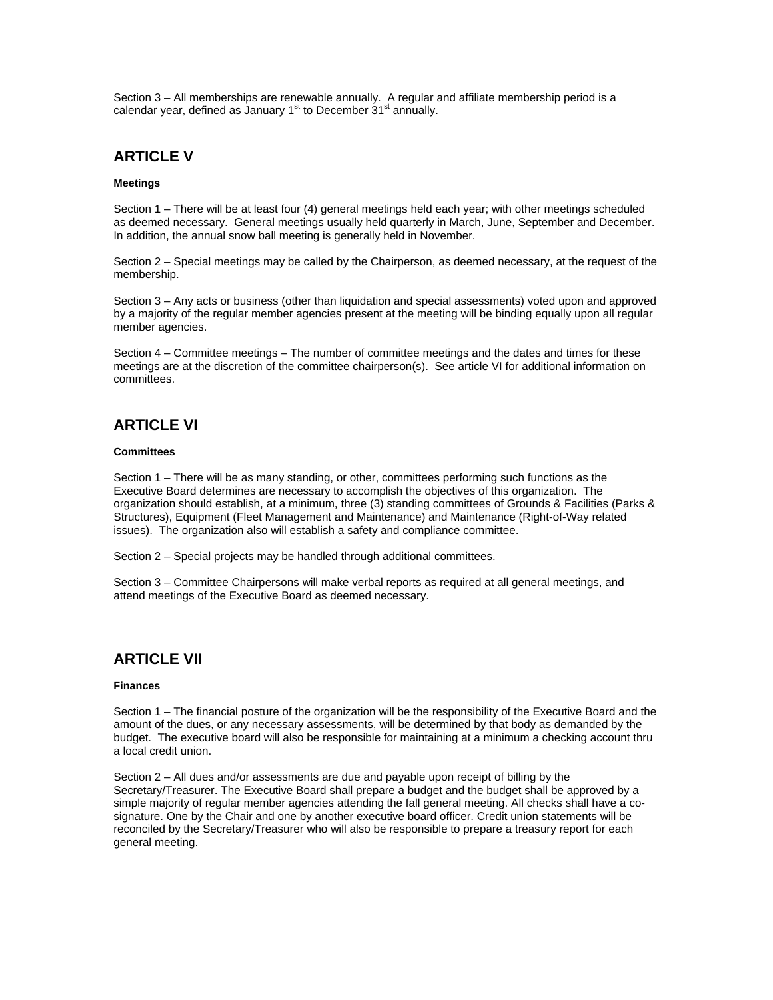Section 3 – All memberships are renewable annually. A regular and affiliate membership period is a calendar year, defined as January  $1<sup>st</sup>$  to December  $31<sup>st</sup>$  annually.

## **ARTICLE V**

#### **Meetings**

Section 1 – There will be at least four (4) general meetings held each year; with other meetings scheduled as deemed necessary. General meetings usually held quarterly in March, June, September and December. In addition, the annual snow ball meeting is generally held in November.

Section 2 – Special meetings may be called by the Chairperson, as deemed necessary, at the request of the membership.

Section 3 – Any acts or business (other than liquidation and special assessments) voted upon and approved by a majority of the regular member agencies present at the meeting will be binding equally upon all regular member agencies.

Section 4 – Committee meetings – The number of committee meetings and the dates and times for these meetings are at the discretion of the committee chairperson(s). See article VI for additional information on committees.

# **ARTICLE VI**

#### **Committees**

Section 1 – There will be as many standing, or other, committees performing such functions as the Executive Board determines are necessary to accomplish the objectives of this organization. The organization should establish, at a minimum, three (3) standing committees of Grounds & Facilities (Parks & Structures), Equipment (Fleet Management and Maintenance) and Maintenance (Right-of-Way related issues). The organization also will establish a safety and compliance committee.

Section 2 – Special projects may be handled through additional committees.

Section 3 – Committee Chairpersons will make verbal reports as required at all general meetings, and attend meetings of the Executive Board as deemed necessary.

## **ARTICLE VII**

#### **Finances**

Section 1 – The financial posture of the organization will be the responsibility of the Executive Board and the amount of the dues, or any necessary assessments, will be determined by that body as demanded by the budget. The executive board will also be responsible for maintaining at a minimum a checking account thru a local credit union.

Section 2 – All dues and/or assessments are due and payable upon receipt of billing by the Secretary/Treasurer. The Executive Board shall prepare a budget and the budget shall be approved by a simple majority of regular member agencies attending the fall general meeting. All checks shall have a cosignature. One by the Chair and one by another executive board officer. Credit union statements will be reconciled by the Secretary/Treasurer who will also be responsible to prepare a treasury report for each general meeting.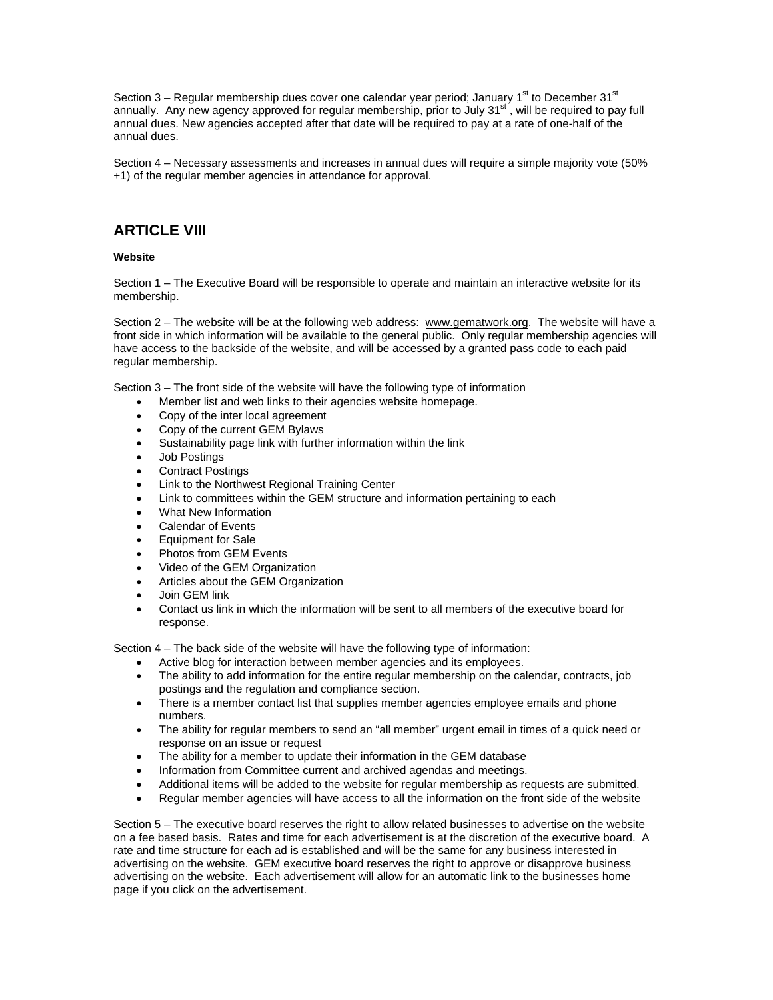Section 3 – Regular membership dues cover one calendar year period; January 1<sup>st</sup> to December 31<sup>st</sup> annually. Any new agency approved for regular membership, prior to July 31 $^{\rm st}$ , will be required to pay full annual dues. New agencies accepted after that date will be required to pay at a rate of one-half of the annual dues.

Section 4 – Necessary assessments and increases in annual dues will require a simple majority vote (50% +1) of the regular member agencies in attendance for approval.

## **ARTICLE VIII**

#### **Website**

Section 1 – The Executive Board will be responsible to operate and maintain an interactive website for its membership.

Section 2 – The website will be at the following web address: [www.gematwork.org.](http://www.gematwork.org/) The website will have a front side in which information will be available to the general public. Only regular membership agencies will have access to the backside of the website, and will be accessed by a granted pass code to each paid regular membership.

Section 3 – The front side of the website will have the following type of information

- Member list and web links to their agencies website homepage.
- Copy of the inter local agreement
- Copy of the current GEM Bylaws
- Sustainability page link with further information within the link
- Job Postings
- Contract Postings
- Link to the Northwest Regional Training Center
- Link to committees within the GEM structure and information pertaining to each
- What New Information
- Calendar of Events
- Equipment for Sale
- Photos from GEM Events
- Video of the GEM Organization
- Articles about the GEM Organization
- Join GEM link
- Contact us link in which the information will be sent to all members of the executive board for response.

Section 4 – The back side of the website will have the following type of information:

- Active blog for interaction between member agencies and its employees.
- The ability to add information for the entire regular membership on the calendar, contracts, job postings and the regulation and compliance section.
- There is a member contact list that supplies member agencies employee emails and phone numbers.
- The ability for regular members to send an "all member" urgent email in times of a quick need or response on an issue or request
- The ability for a member to update their information in the GEM database
- Information from Committee current and archived agendas and meetings.
- Additional items will be added to the website for regular membership as requests are submitted.
- Regular member agencies will have access to all the information on the front side of the website

Section 5 – The executive board reserves the right to allow related businesses to advertise on the website on a fee based basis. Rates and time for each advertisement is at the discretion of the executive board. A rate and time structure for each ad is established and will be the same for any business interested in advertising on the website. GEM executive board reserves the right to approve or disapprove business advertising on the website. Each advertisement will allow for an automatic link to the businesses home page if you click on the advertisement.